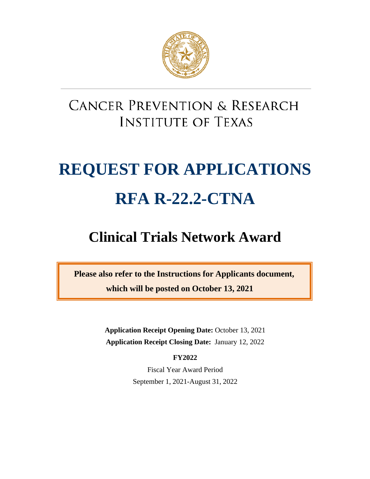

# **CANCER PREVENTION & RESEARCH INSTITUTE OF TEXAS**

# **REQUEST FOR APPLICATIONS RFA R-22.2-CTNA**

# **Clinical Trials Network Award**

**Please also refer to the Instructions for Applicants document, which will be posted on October 13, 2021**

> **Application Receipt Opening Date:** October 13, 2021 **Application Receipt Closing Date:** January 12, 2022

> > **FY2022**

Fiscal Year Award Period September 1, 2021-August 31, 2022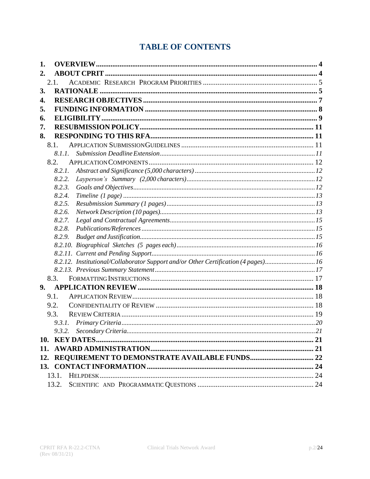# **TABLE OF CONTENTS**

| 1.   |                                                                                   |  |  |  |  |
|------|-----------------------------------------------------------------------------------|--|--|--|--|
| 2.   |                                                                                   |  |  |  |  |
|      | 2.1.                                                                              |  |  |  |  |
| 3.   |                                                                                   |  |  |  |  |
| 4.   |                                                                                   |  |  |  |  |
| 5.   |                                                                                   |  |  |  |  |
| 6.   |                                                                                   |  |  |  |  |
| 7.   |                                                                                   |  |  |  |  |
| 8.   |                                                                                   |  |  |  |  |
| 8.1. |                                                                                   |  |  |  |  |
|      | 8.1.1.                                                                            |  |  |  |  |
| 8.2. |                                                                                   |  |  |  |  |
|      | 8.2.1.                                                                            |  |  |  |  |
|      | 8.2.2.                                                                            |  |  |  |  |
|      | 8.2.3.                                                                            |  |  |  |  |
|      | 8.2.4.                                                                            |  |  |  |  |
|      | 8.2.5.                                                                            |  |  |  |  |
|      | 8.2.6.                                                                            |  |  |  |  |
|      | 8.2.7.                                                                            |  |  |  |  |
|      | 8.2.8.                                                                            |  |  |  |  |
|      | 8.2.9.                                                                            |  |  |  |  |
|      |                                                                                   |  |  |  |  |
|      |                                                                                   |  |  |  |  |
|      | 8.2.12. Institutional/Collaborator Support and/or Other Certification (4 pages)16 |  |  |  |  |
|      |                                                                                   |  |  |  |  |
|      | 8.3.                                                                              |  |  |  |  |
| 9.   |                                                                                   |  |  |  |  |
| 9.1. |                                                                                   |  |  |  |  |
| 9.2. |                                                                                   |  |  |  |  |
| 9.3. |                                                                                   |  |  |  |  |
|      | 9.3.1.                                                                            |  |  |  |  |
|      |                                                                                   |  |  |  |  |
| 10.  |                                                                                   |  |  |  |  |
| 11.  |                                                                                   |  |  |  |  |
|      | 12. REQUIREMENT TO DEMONSTRATE AVAILABLE FUNDS 22                                 |  |  |  |  |
|      |                                                                                   |  |  |  |  |
|      | 13.1.                                                                             |  |  |  |  |
|      | 13.2.                                                                             |  |  |  |  |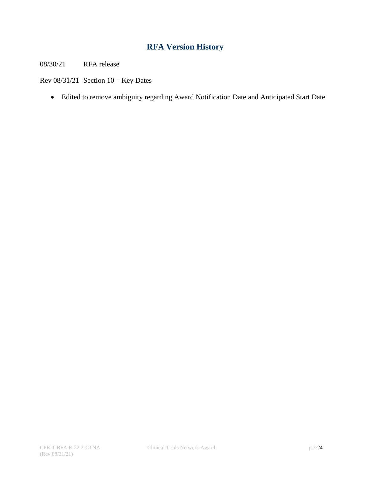# **RFA Version History**

08/30/21 RFA release

Rev 08/31/21 Section 10 – Key Dates

• Edited to remove ambiguity regarding Award Notification Date and Anticipated Start Date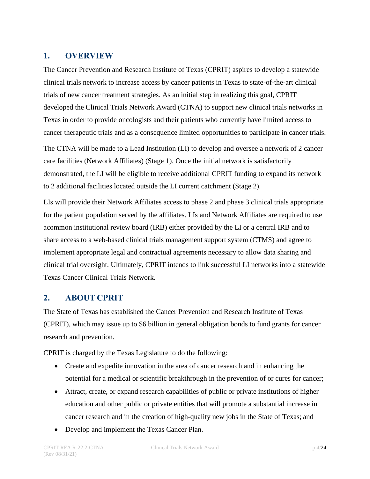# <span id="page-3-0"></span>**1. OVERVIEW**

The Cancer Prevention and Research Institute of Texas (CPRIT) aspires to develop a statewide clinical trials network to increase access by cancer patients in Texas to state-of-the-art clinical trials of new cancer treatment strategies. As an initial step in realizing this goal, CPRIT developed the Clinical Trials Network Award (CTNA) to support new clinical trials networks in Texas in order to provide oncologists and their patients who currently have limited access to cancer therapeutic trials and as a consequence limited opportunities to participate in cancer trials.

The CTNA will be made to a Lead Institution (LI) to develop and oversee a network of 2 cancer care facilities (Network Affiliates) (Stage 1). Once the initial network is satisfactorily demonstrated, the LI will be eligible to receive additional CPRIT funding to expand its network to 2 additional facilities located outside the LI current catchment (Stage 2).

LIs will provide their Network Affiliates access to phase 2 and phase 3 clinical trials appropriate for the patient population served by the affiliates. LIs and Network Affiliates are required to use acommon institutional review board (IRB) either provided by the LI or a central IRB and to share access to a web-based clinical trials management support system (CTMS) and agree to implement appropriate legal and contractual agreements necessary to allow data sharing and clinical trial oversight. Ultimately, CPRIT intends to link successful LI networks into a statewide Texas Cancer Clinical Trials Network.

# <span id="page-3-1"></span>**2. ABOUT CPRIT**

The State of Texas has established the Cancer Prevention and Research Institute of Texas (CPRIT), which may issue up to \$6 billion in general obligation bonds to fund grants for cancer research and prevention.

CPRIT is charged by the Texas Legislature to do the following:

- Create and expedite innovation in the area of cancer research and in enhancing the potential for a medical or scientific breakthrough in the prevention of or cures for cancer;
- Attract, create, or expand research capabilities of public or private institutions of higher education and other public or private entities that will promote a substantial increase in cancer research and in the creation of high-quality new jobs in the State of Texas; and
- Develop and implement the Texas Cancer Plan.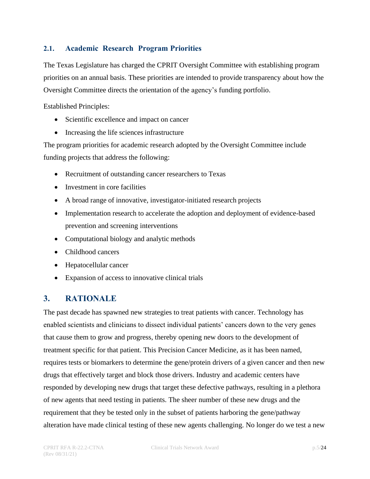# <span id="page-4-0"></span>**2.1. Academic Research Program Priorities**

The Texas Legislature has charged the CPRIT Oversight Committee with establishing program priorities on an annual basis. These priorities are intended to provide transparency about how the Oversight Committee directs the orientation of the agency's funding portfolio.

Established Principles:

- Scientific excellence and impact on cancer
- Increasing the life sciences infrastructure

The program priorities for academic research adopted by the Oversight Committee include funding projects that address the following:

- Recruitment of outstanding cancer researchers to Texas
- Investment in core facilities
- A broad range of innovative, investigator-initiated research projects
- Implementation research to accelerate the adoption and deployment of evidence-based prevention and screening interventions
- Computational biology and analytic methods
- Childhood cancers
- Hepatocellular cancer
- Expansion of access to innovative clinical trials

# <span id="page-4-1"></span>**3. RATIONALE**

The past decade has spawned new strategies to treat patients with cancer. Technology has enabled scientists and clinicians to dissect individual patients' cancers down to the very genes that cause them to grow and progress, thereby opening new doors to the development of treatment specific for that patient. This Precision Cancer Medicine, as it has been named, requires tests or biomarkers to determine the gene/protein drivers of a given cancer and then new drugs that effectively target and block those drivers. Industry and academic centers have responded by developing new drugs that target these defective pathways, resulting in a plethora of new agents that need testing in patients. The sheer number of these new drugs and the requirement that they be tested only in the subset of patients harboring the gene/pathway alteration have made clinical testing of these new agents challenging. No longer do we test a new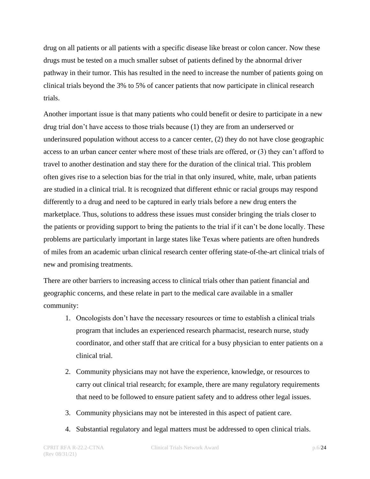drug on all patients or all patients with a specific disease like breast or colon cancer. Now these drugs must be tested on a much smaller subset of patients defined by the abnormal driver pathway in their tumor. This has resulted in the need to increase the number of patients going on clinical trials beyond the 3% to 5% of cancer patients that now participate in clinical research trials.

Another important issue is that many patients who could benefit or desire to participate in a new drug trial don't have access to those trials because (1) they are from an underserved or underinsured population without access to a cancer center, (2) they do not have close geographic access to an urban cancer center where most of these trials are offered, or (3) they can't afford to travel to another destination and stay there for the duration of the clinical trial. This problem often gives rise to a selection bias for the trial in that only insured, white, male, urban patients are studied in a clinical trial. It is recognized that different ethnic or racial groups may respond differently to a drug and need to be captured in early trials before a new drug enters the marketplace. Thus, solutions to address these issues must consider bringing the trials closer to the patients or providing support to bring the patients to the trial if it can't be done locally. These problems are particularly important in large states like Texas where patients are often hundreds of miles from an academic urban clinical research center offering state-of-the-art clinical trials of new and promising treatments.

There are other barriers to increasing access to clinical trials other than patient financial and geographic concerns, and these relate in part to the medical care available in a smaller community:

- 1. Oncologists don't have the necessary resources or time to establish a clinical trials program that includes an experienced research pharmacist, research nurse, study coordinator, and other staff that are critical for a busy physician to enter patients on a clinical trial.
- 2. Community physicians may not have the experience, knowledge, or resources to carry out clinical trial research; for example, there are many regulatory requirements that need to be followed to ensure patient safety and to address other legal issues.
- 3. Community physicians may not be interested in this aspect of patient care.
- 4. Substantial regulatory and legal matters must be addressed to open clinical trials.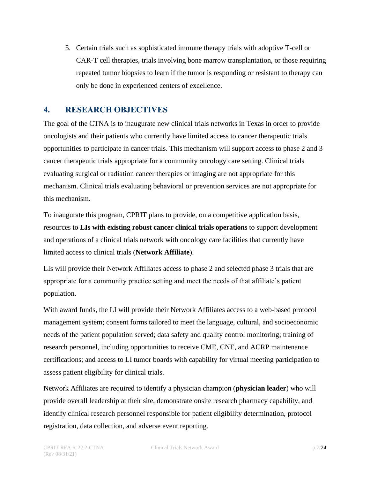5. Certain trials such as sophisticated immune therapy trials with adoptive T-cell or CAR-T cell therapies, trials involving bone marrow transplantation, or those requiring repeated tumor biopsies to learn if the tumor is responding or resistant to therapy can only be done in experienced centers of excellence.

# <span id="page-6-0"></span>**4. RESEARCH OBJECTIVES**

The goal of the CTNA is to inaugurate new clinical trials networks in Texas in order to provide oncologists and their patients who currently have limited access to cancer therapeutic trials opportunities to participate in cancer trials. This mechanism will support access to phase 2 and 3 cancer therapeutic trials appropriate for a community oncology care setting. Clinical trials evaluating surgical or radiation cancer therapies or imaging are not appropriate for this mechanism. Clinical trials evaluating behavioral or prevention services are not appropriate for this mechanism.

To inaugurate this program, CPRIT plans to provide, on a competitive application basis, resources to **LIs with existing robust cancer clinical trials operations** to support development and operations of a clinical trials network with oncology care facilities that currently have limited access to clinical trials (**Network Affiliate**).

LIs will provide their Network Affiliates access to phase 2 and selected phase 3 trials that are appropriate for a community practice setting and meet the needs of that affiliate's patient population.

With award funds, the LI will provide their Network Affiliates access to a web-based protocol management system; consent forms tailored to meet the language, cultural, and socioeconomic needs of the patient population served; data safety and quality control monitoring; training of research personnel, including opportunities to receive CME, CNE, and ACRP maintenance certifications; and access to LI tumor boards with capability for virtual meeting participation to assess patient eligibility for clinical trials.

Network Affiliates are required to identify a physician champion (**physician leader**) who will provide overall leadership at their site, demonstrate onsite research pharmacy capability, and identify clinical research personnel responsible for patient eligibility determination, protocol registration, data collection, and adverse event reporting.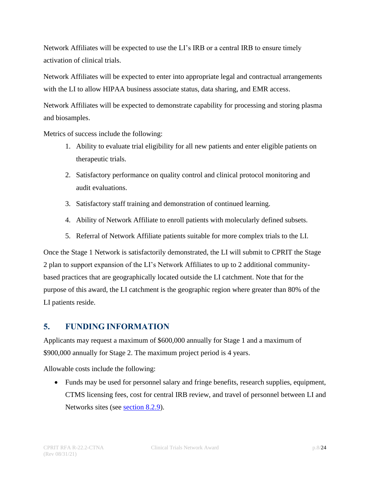Network Affiliates will be expected to use the LI's IRB or a central IRB to ensure timely activation of clinical trials.

Network Affiliates will be expected to enter into appropriate legal and contractual arrangements with the LI to allow HIPAA business associate status, data sharing, and EMR access.

Network Affiliates will be expected to demonstrate capability for processing and storing plasma and biosamples.

Metrics of success include the following:

- 1. Ability to evaluate trial eligibility for all new patients and enter eligible patients on therapeutic trials.
- 2. Satisfactory performance on quality control and clinical protocol monitoring and audit evaluations.
- 3. Satisfactory staff training and demonstration of continued learning.
- 4. Ability of Network Affiliate to enroll patients with molecularly defined subsets.
- 5. Referral of Network Affiliate patients suitable for more complex trials to the LI.

Once the Stage 1 Network is satisfactorily demonstrated, the LI will submit to CPRIT the Stage 2 plan to support expansion of the LI's Network Affiliates to up to 2 additional communitybased practices that are geographically located outside the LI catchment. Note that for the purpose of this award, the LI catchment is the geographic region where greater than 80% of the LI patients reside.

# <span id="page-7-0"></span>**5. FUNDING INFORMATION**

Applicants may request a maximum of \$600,000 annually for Stage 1 and a maximum of \$900,000 annually for Stage 2. The maximum project period is 4 years.

Allowable costs include the following:

• Funds may be used for personnel salary and fringe benefits, research supplies, equipment, CTMS licensing fees, cost for central IRB review, and travel of personnel between LI and Networks sites (see <u>section 8.2.9</u>).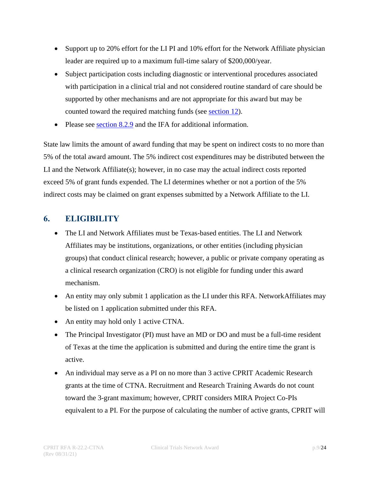- Support up to 20% effort for the LI PI and 10% effort for the Network Affiliate physician leader are required up to a maximum full-time salary of \$200,000/year.
- Subject participation costs including diagnostic or interventional procedures associated with participation in a clinical trial and not considered routine standard of care should be supported by other mechanisms and are not appropriate for this award but may be counted toward the required matching funds (see [section](#page-21-0) 12).
- Please see [section](#page-14-2) 8.2.9 and the IFA for additional information.

State law limits the amount of award funding that may be spent on indirect costs to no more than 5% of the total award amount. The 5% indirect cost expenditures may be distributed between the LI and the Network Affiliate(s); however, in no case may the actual indirect costs reported exceed 5% of grant funds expended. The LI determines whether or not a portion of the 5% indirect costs may be claimed on grant expenses submitted by a Network Affiliate to the LI.

# <span id="page-8-0"></span>**6. ELIGIBILITY**

- The LI and Network Affiliates must be Texas-based entities. The LI and Network Affiliates may be institutions, organizations, or other entities (including physician groups) that conduct clinical research; however, a public or private company operating as a clinical research organization (CRO) is not eligible for funding under this award mechanism.
- An entity may only submit 1 application as the LI under this RFA. NetworkAffiliates may be listed on 1 application submitted under this RFA.
- An entity may hold only 1 active CTNA.
- The Principal Investigator (PI) must have an MD or DO and must be a full-time resident of Texas at the time the application is submitted and during the entire time the grant is active.
- An individual may serve as a PI on no more than 3 active CPRIT Academic Research grants at the time of CTNA. Recruitment and Research Training Awards do not count toward the 3-grant maximum; however, CPRIT considers MIRA Project Co-PIs equivalent to a PI. For the purpose of calculating the number of active grants, CPRIT will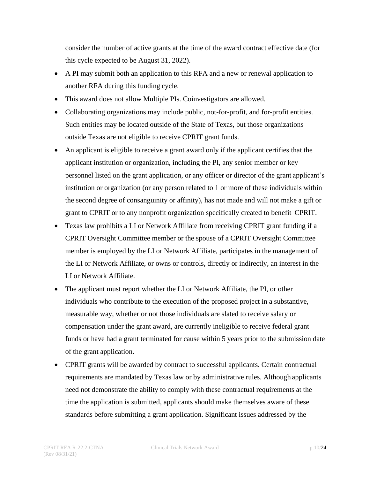consider the number of active grants at the time of the award contract effective date (for this cycle expected to be August 31, 2022).

- A PI may submit both an application to this RFA and a new or renewal application to another RFA during this funding cycle.
- This award does not allow Multiple PIs. Coinvestigators are allowed.
- Collaborating organizations may include public, not-for-profit, and for-profit entities. Such entities may be located outside of the State of Texas, but those organizations outside Texas are not eligible to receive CPRIT grant funds.
- An applicant is eligible to receive a grant award only if the applicant certifies that the applicant institution or organization, including the PI, any senior member or key personnel listed on the grant application, or any officer or director of the grant applicant's institution or organization (or any person related to 1 or more of these individuals within the second degree of consanguinity or affinity), has not made and will not make a gift or grant to CPRIT or to any nonprofit organization specifically created to benefit CPRIT.
- Texas law prohibits a LI or Network Affiliate from receiving CPRIT grant funding if a CPRIT Oversight Committee member or the spouse of a CPRIT Oversight Committee member is employed by the LI or Network Affiliate, participates in the management of the LI or Network Affiliate, or owns or controls, directly or indirectly, an interest in the LI or Network Affiliate.
- The applicant must report whether the LI or Network Affiliate, the PI, or other individuals who contribute to the execution of the proposed project in a substantive, measurable way, whether or not those individuals are slated to receive salary or compensation under the grant award, are currently ineligible to receive federal grant funds or have had a grant terminated for cause within 5 years prior to the submission date of the grant application.
- CPRIT grants will be awarded by contract to successful applicants. Certain contractual requirements are mandated by Texas law or by administrative rules. Although applicants need not demonstrate the ability to comply with these contractual requirements at the time the application is submitted, applicants should make themselves aware of these standards before submitting a grant application. Significant issues addressed by the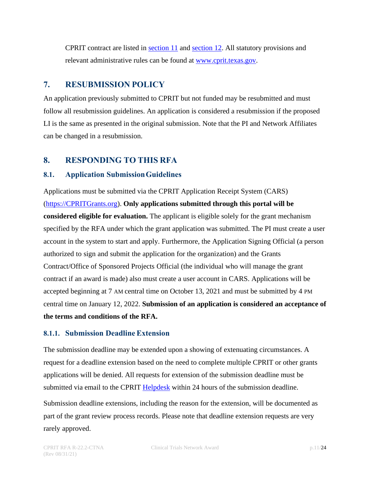CPRIT contract are listed in [section 11](#page-20-2) and [section 12.](#page-21-0) All statutory provisions and relevant administrative rules can be found at [www.cprit.texas.gov.](http://www.cprit.texas.gov/)

# <span id="page-10-0"></span>**7. RESUBMISSION POLICY**

An application previously submitted to CPRIT but not funded may be resubmitted and must follow all resubmission guidelines. An application is considered a resubmission if the proposed LI is the same as presented in the original submission. Note that the PI and Network Affiliates can be changed in a resubmission.

# <span id="page-10-1"></span>**8. RESPONDING TO THIS RFA**

#### <span id="page-10-2"></span>**8.1. Application SubmissionGuidelines**

Applications must be submitted via the CPRIT Application Receipt System (CARS) [\(https://CPRITGrants.org\)](https://cpritgrants.org/). **Only applications submitted through this portal will be considered eligible for evaluation.** The applicant is eligible solely for the grant mechanism specified by the RFA under which the grant application was submitted. The PI must create a user account in the system to start and apply. Furthermore, the Application Signing Official (a person authorized to sign and submit the application for the organization) and the Grants Contract/Office of Sponsored Projects Official (the individual who will manage the grant contract if an award is made) also must create a user account in CARS. Applications will be accepted beginning at 7 AM central time on October 13, 2021 and must be submitted by 4 PM central time on January 12, 2022. **Submission of an application is considered an acceptance of the terms and conditions of the RFA.**

#### <span id="page-10-3"></span>**8.1.1. Submission DeadlineExtension**

The submission deadline may be extended upon a showing of extenuating circumstances. A request for a deadline extension based on the need to complete multiple CPRIT or other grants applications will be denied. All requests for extension of the submission deadline must be submitted via email to the CPRIT [Helpdesk](#page-23-1) within 24 hours of the submission deadline.

Submission deadline extensions, including the reason for the extension, will be documented as part of the grant review process records. Please note that deadline extension requests are very rarely approved.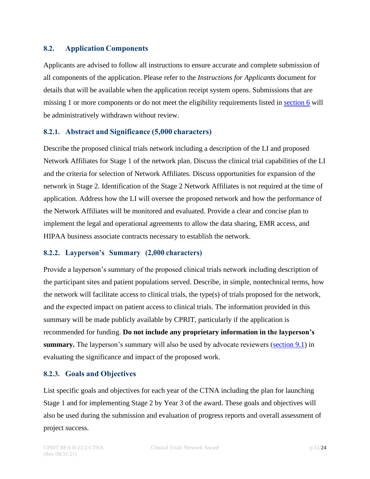#### <span id="page-11-0"></span>**8.2. Application Components**

Applicants are advised to follow all instructions to ensure accurate and complete submission of all components of the application. Please refer to the *Instructions for Applicants* document for details that will be available when the application receipt system opens. Submissions that are missing 1 or more components or do not meet the eligibility requirements listed in [section 6](#page-8-0) will be administratively withdrawn without review.

#### <span id="page-11-1"></span>**8.2.1. Abstract and Significance (5,000 characters)**

Describe the proposed clinical trials network including a description of the LI and proposed Network Affiliates for Stage 1 of the network plan. Discuss the clinical trial capabilities of the LI and the criteria for selection of Network Affiliates. Discuss opportunities for expansion of the network in Stage 2. Identification of the Stage 2 Network Affiliates is not required at the time of application. Address how the LI will oversee the proposed network and how the performance of the Network Affiliates will be monitored and evaluated. Provide a clear and concise plan to implement the legal and operational agreements to allow the data sharing, EMR access, and HIPAA business associate contracts necessary to establish the network.

#### <span id="page-11-2"></span>**8.2.2. Layperson's Summary (2,000 characters)**

Provide a layperson's summary of the proposed clinical trials network including description of the participant sites and patient populations served. Describe, in simple, nontechnical terms, how the network will facilitate access to clinical trials, the type(s) of trials proposed for the network, and the expected impact on patient access to clinical trials. The information provided [in this](#page-17-1) summary will be made publicly available by CPRIT, particularly if the application is recommended for funding. **Do not include any proprietary information in the layperson's summary.** The layperson's summary will also be used by advocate reviewers [\(section 9.1\)](#page-17-1) in evaluating the significance and impact of the proposed work.

#### <span id="page-11-3"></span>**8.2.3. Goals and Objectives**

List specific goals and objectives for each year of the CTNA including the plan for launching Stage 1 and for implementing Stage 2 by Year 3 of the award. These goals and objectives will also be used during the submission and evaluation of progress reports and overall assessment of project success.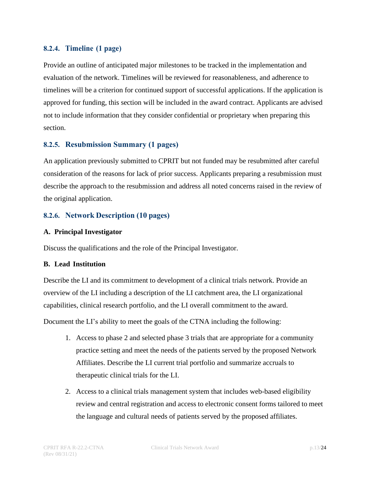#### <span id="page-12-0"></span>**8.2.4. Timeline (1 page)**

Provide an outline of anticipated major milestones to be tracked in the implementation and evaluation of the network. Timelines will be reviewed for reasonableness, and adherence to timelines will be a criterion for continued support of successful applications. If the application is approved for funding, this section will be included in the award contract. Applicants are advised not to include information that they consider confidential or proprietary when preparing this section.

#### <span id="page-12-1"></span>**8.2.5. Resubmission Summary (1 pages)**

An application previously submitted to CPRIT but not funded may be resubmitted after careful consideration of the reasons for lack of prior success. Applicants preparing a resubmission must describe the approach to the resubmission and address all noted concerns raised in the review of the original application.

#### <span id="page-12-2"></span>**8.2.6. Network Description (10 pages)**

#### **A. Principal Investigator**

Discuss the qualifications and the role of the Principal Investigator.

#### **B. Lead Institution**

Describe the LI and its commitment to development of a clinical trials network. Provide an overview of the LI including a description of the LI catchment area, the LI organizational capabilities, clinical research portfolio, and the LI overall commitment to the award.

Document the LI's ability to meet the goals of the CTNA including the following:

- 1. Access to phase 2 and selected phase 3 trials that are appropriate for a community practice setting and meet the needs of the patients served by the proposed Network Affiliates. Describe the LI current trial portfolio and summarize accruals to therapeutic clinical trials for the LI.
- 2. Access to a clinical trials management system that includes web-based eligibility review and central registration and access to electronic consent forms tailored to meet the language and cultural needs of patients served by the proposed affiliates.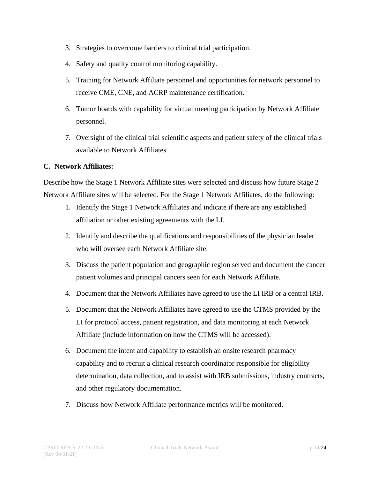- 3. Strategies to overcome barriers to clinical trial participation.
- 4. Safety and quality control monitoring capability.
- 5. Training for Network Affiliate personnel and opportunities for network personnel to receive CME, CNE, and ACRP maintenance certification.
- 6. Tumor boards with capability for virtual meeting participation by Network Affiliate personnel.
- 7. Oversight of the clinical trial scientific aspects and patient safety of the clinical trials available to Network Affiliates.

#### **C. Network Affiliates:**

Describe how the Stage 1 Network Affiliate sites were selected and discuss how future Stage 2 Network Affiliate sites will be selected. For the Stage 1 Network Affiliates, do the following:

- 1. Identify the Stage 1 Network Affiliates and indicate if there are any established affiliation or other existing agreements with the LI.
- 2. Identify and describe the qualifications and responsibilities of the physician leader who will oversee each Network Affiliate site.
- 3. Discuss the patient population and geographic region served and document the cancer patient volumes and principal cancers seen for each Network Affiliate.
- 4. Document that the Network Affiliates have agreed to use the LI IRB or a central IRB.
- 5. Document that the Network Affiliates have agreed to use the CTMS provided by the LI for protocol access, patient registration, and data monitoring at each Network Affiliate (include information on how the CTMS will be accessed).
- 6. Document the intent and capability to establish an onsite research pharmacy capability and to recruit a clinical research coordinator responsible for eligibility determination, data collection, and to assist with IRB submissions, industry contracts, and other regulatory documentation.
- 7. Discuss how Network Affiliate performance metrics will be monitored.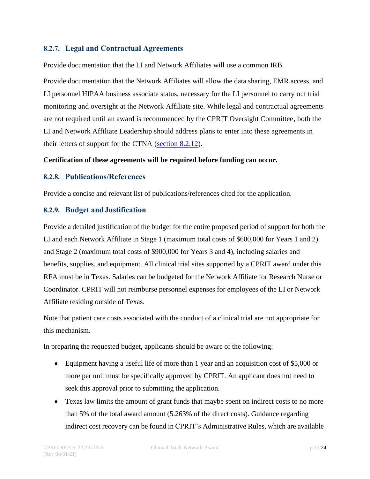#### <span id="page-14-0"></span>**8.2.7. Legal and Contractual Agreements**

Provide documentation that the LI and Network Affiliates will use a common IRB.

Provide documentation that the Network Affiliates will allow the data sharing, EMR access, and LI personnel HIPAA business associate status, necessary for the LI personnel to carry out trial monitoring and oversight at the Network Affiliate site. While legal and contractual agreements are not required until an award is recommended by the CPRIT Oversight Committee, both the LI and Network Affiliate Leadership should address plans to enter into these agreements in their letters of support for the CTNA [\(section 8.2.12\)](#page-15-2).

#### **Certification of these agreements will be required before funding can occur.**

#### <span id="page-14-1"></span>**8.2.8. Publications/References**

Provide a concise and relevant list of publications/references cited for the application.

#### <span id="page-14-2"></span>**8.2.9. Budget andJustification**

Provide a detailed justification of the budget for the entire proposed period of support for both the LI and each Network Affiliate in Stage 1 (maximum total costs of \$600,000 for Years 1 and 2) and Stage 2 (maximum total costs of \$900,000 for Years 3 and 4), including salaries and benefits, supplies, and equipment. All clinical trial sites supported by a CPRIT award under this RFA must be in Texas. Salaries can be budgeted for the Network Affiliate for Research Nurse or Coordinator. CPRIT will not reimburse personnel expenses for employees of the LI or Network Affiliate residing outside of Texas.

Note that patient care costs associated with the conduct of a clinical trial are not appropriate for this mechanism.

In preparing the requested budget, applicants should be aware of the following:

- Equipment having a useful life of more than 1 year and an acquisition cost of \$5,000 or more per unit must be specifically approved by CPRIT. An applicant does not need to seek this approval prior to submitting the application.
- Texas law limits the amount of grant funds that maybe spent on indirect costs to no more than 5% of the total award amount (5.263% of the direct costs). Guidance regarding indirect cost recovery can be found in CPRIT's Administrative Rules, which are available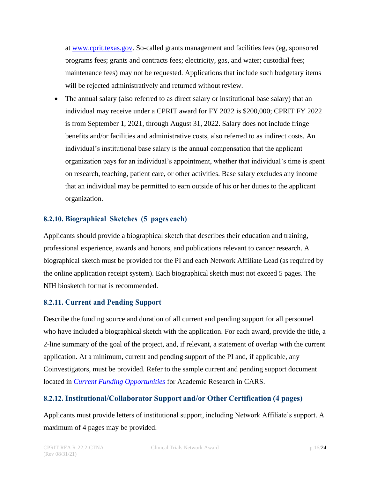at [www.cprit.texas.gov. S](https://www.cprit.texas.gov/)o-called grants management and facilities fees (eg, sponsored programs fees; grants and contracts fees; electricity, gas, and water; custodial fees; maintenance fees) may not be requested. Applications that include such budgetary items will be rejected administratively and returned without review.

• The annual salary (also referred to as direct salary or institutional base salary) that an individual may receive under a CPRIT award for FY 2022 is \$200,000; CPRIT FY 2022 is from September 1, 2021, through August 31, 2022. Salary does not include fringe benefits and/or facilities and administrative costs, also referred to as indirect costs. An individual's institutional base salary is the annual compensation that the applicant organization pays for an individual's appointment, whether that individual's time is spent on research, teaching, patient care, or other activities. Base salary excludes any income that an individual may be permitted to earn outside of his or her duties to the applicant organization.

#### <span id="page-15-0"></span>**8.2.10. Biographical Sketches (5 pages each)**

Applicants should provide a biographical sketch that describes their education and training, professional experience, awards and honors, and publications relevant to cancer research. A biographical sketch must be provided for the PI and each Network Affiliate Lead (as required by the online application receipt system). Each biographical sketch must not exceed 5 pages. The NIH biosketch format is recommended.

#### <span id="page-15-1"></span>**8.2.11. Current and Pending Support**

Describe the funding source and duration of all current and pending support for all personnel who have included a biographical sketch with the application. For each award, provide the title, a 2-line summary of the goal of the project, and, if relevant, a statement of overlap with the current application. At a minimum, current and pending support of the PI and, if applicable, any Coinvestigators, must be provided. Refer to the sample current and pending support document located in *[Current](https://cpritgrants.org/Current_Funding_Opportunities/) Funding [Opportunities](https://cpritgrants.org/Current_Funding_Opportunities/)* for Academic Research in CARS.

#### <span id="page-15-2"></span>**8.2.12. Institutional/Collaborator Support and/or Other Certification (4 pages)**

Applicants must provide letters of institutional support, including Network Affiliate's support. A maximum of 4 pages may be provided.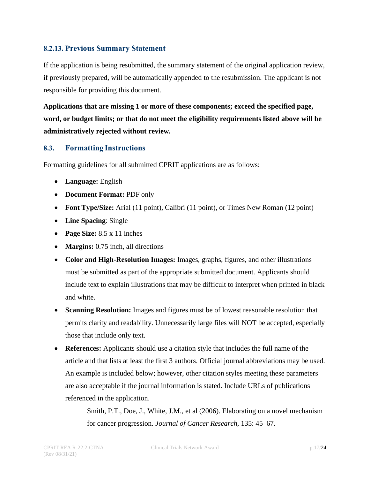#### <span id="page-16-0"></span>**8.2.13. Previous Summary Statement**

If the application is being resubmitted, the summary statement of the original application review, if previously prepared, will be automatically appended to the resubmission. The applicant is not responsible for providing this document.

**Applications that are missing 1 or more of these components; exceed the specified page, word, or budget limits; or that do not meet the eligibility requirements listed above will be administratively rejected without review.**

#### <span id="page-16-1"></span>**8.3. Formatting Instructions**

Formatting guidelines for all submitted CPRIT applications are as follows:

- **Language:** English
- **Document Format:** PDF only
- **Font Type/Size:** Arial (11 point), Calibri (11 point), or Times New Roman (12 point)
- **Line Spacing**: Single
- **Page Size:** 8.5 x 11 inches
- **Margins:** 0.75 inch, all directions
- **Color and High-Resolution Images:** Images, graphs, figures, and other illustrations must be submitted as part of the appropriate submitted document. Applicants should include text to explain illustrations that may be difficult to interpret when printed in black and white.
- **Scanning Resolution:** Images and figures must be of lowest reasonable resolution that permits clarity and readability. Unnecessarily large files will NOT be accepted, especially those that include only text.
- **References:** Applicants should use a citation style that includes the full name of the article and that lists at least the first 3 authors. Official journal abbreviations may be used. An example is included below; however, other citation styles meeting these parameters are also acceptable if the journal information is stated. Include URLs of publications referenced in the application.

Smith, P.T., Doe, J., White, J.M., et al (2006). Elaborating on a novel mechanism for cancer progression. *Journal of Cancer Research*, 135: 45–67.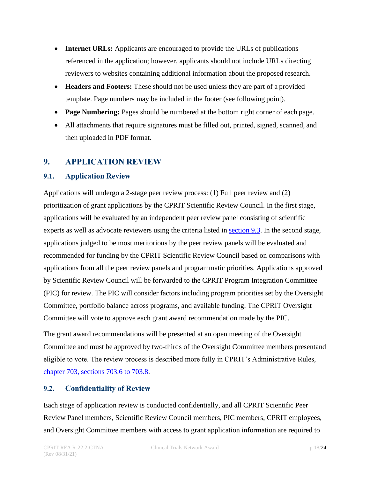- **Internet URLs:** Applicants are encouraged to provide the URLs of publications referenced in the application; however, applicants should not include URLs directing reviewers to websites containing additional information about the proposed research.
- **Headers and Footers:** These should not be used unless they are part of a provided template. Page numbers may be included in the footer (see following point).
- **Page Numbering:** Pages should be numbered at the bottom right corner of each page.
- All attachments that require signatures must be filled out, printed, signed, scanned, and then uploaded in PDF format.

# <span id="page-17-0"></span>**9. APPLICATION REVIEW**

#### <span id="page-17-1"></span>**9.1. Application Review**

Applications will undergo a 2-stage peer review process: (1) Full peer review and (2) prioritization of grant applications by the CPRIT Scientific Review Council. In the first stage, applications will be evaluated by an independent peer review panel consisting of scientific experts as well as advocate reviewers using the criteria listed in [section](#page-18-0) 9.3. In the second stage, applications judged to be most meritorious by the peer review panels will be evaluated and recommended for funding by the CPRIT Scientific Review Council based on comparisons with applications from all the peer review panels and programmatic priorities. Applications approved by Scientific Review Council will be forwarded to the CPRIT Program Integration Committee (PIC) for review. The PIC will consider factors including program priorities set by the Oversight Committee, portfolio balance across programs, and available funding. The CPRIT Oversight Committee will vote to approve each grant award recommendation made by the PIC.

The grant award recommendations will be presented at an open meeting of the Oversight Committee and must be approved by two-thirds of the Oversight Committee members presentand eligible to vote. The review process is described more fully in CPRIT's Administrative Rules, chapter [703, sections 703.6 to 703.8.](https://texreg.sos.state.tx.us/public/readtac%24ext.ViewTAC?tac_view=4&ti=25&pt=11&ch=703&rl=Y)

# <span id="page-17-2"></span>**9.2. Confidentiality of Review**

Each stage of application review is conducted confidentially, and all CPRIT Scientific Peer Review Panel members, Scientific Review Council members, PIC members, CPRIT employees, and Oversight Committee members with access to grant application information are required to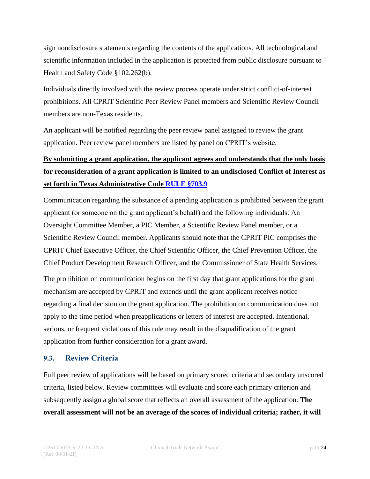sign nondisclosure statements regarding the contents of the applications. All technological and scientific information included in the application is protected from public disclosure pursuant to Health and Safety Code §102.262(b).

Individuals directly involved with the review process operate under strict conflict-of-interest prohibitions. All CPRIT Scientific Peer Review Panel members and Scientific Review Council members are non-Texas residents.

An applicant will be notified regarding the peer review panel assigned to review the grant application. Peer review panel members are listed by panel on CPRIT's website.

# **By submitting a grant application, the applicant agrees and understands that the only basis for reconsideration of a grant application is limited to an undisclosed Conflict of Interest as set forth in Texas Administrative Code [RULE](https://texreg.sos.state.tx.us/public/readtac$ext.TacPage?sl=R&app=9&p_dir=&p_rloc=&p_tloc=&p_ploc=&pg=1&p_tac=&ti=25&pt=11&ch=703&rl=9) §703.9**

Communication regarding the substance of a pending application is prohibited between the grant applicant (or someone on the grant applicant's behalf) and the following individuals: An Oversight Committee Member, a PIC Member, a Scientific Review Panel member, or a Scientific Review Council member. Applicants should note that the CPRIT PIC comprises the CPRIT Chief Executive Officer, the Chief Scientific Officer, the Chief Prevention Officer, the Chief Product Development Research Officer, and the Commissioner of State Health Services.

The prohibition on communication begins on the first day that grant applications for the grant mechanism are accepted by CPRIT and extends until the grant applicant receives notice regarding a final decision on the grant application. The prohibition on communication does not apply to the time period when preapplications or letters of interest are accepted. Intentional, serious, or frequent violations of this rule may result in the disqualification of the grant application from further consideration for a grant award.

# <span id="page-18-0"></span>**9.3. Review Criteria**

Full peer review of applications will be based on primary scored criteria and secondary unscored criteria, listed below. Review committees will evaluate and score each primary criterion and subsequently assign a global score that reflects an overall assessment of the application. **The overall assessment will not be an average of the scores of individual criteria; rather, it will**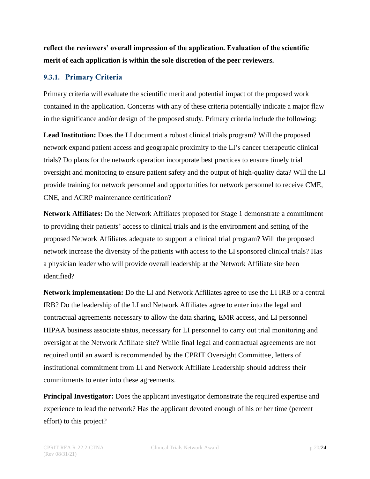**reflect the reviewers' overall impression of the application. Evaluation of the scientific merit of each application is within the sole discretion of the peer reviewers.**

#### <span id="page-19-0"></span>**9.3.1. Primary Criteria**

Primary criteria will evaluate the scientific merit and potential impact of the proposed work contained in the application. Concerns with any of these criteria potentially indicate a major flaw in the significance and/or design of the proposed study. Primary criteria include the following:

**Lead Institution:** Does the LI document a robust clinical trials program? Will the proposed network expand patient access and geographic proximity to the LI's cancer therapeutic clinical trials? Do plans for the network operation incorporate best practices to ensure timely trial oversight and monitoring to ensure patient safety and the output of high-quality data? Will the LI provide training for network personnel and opportunities for network personnel to receive CME, CNE, and ACRP maintenance certification?

**Network Affiliates:** Do the Network Affiliates proposed for Stage 1 demonstrate a commitment to providing their patients' access to clinical trials and is the environment and setting of the proposed Network Affiliates adequate to support a clinical trial program? Will the proposed network increase the diversity of the patients with access to the LI sponsored clinical trials? Has a physician leader who will provide overall leadership at the Network Affiliate site been identified?

**Network implementation:** Do the LI and Network Affiliates agree to use the LI IRB or a central IRB? Do the leadership of the LI and Network Affiliates agree to enter into the legal and contractual agreements necessary to allow the data sharing, EMR access, and LI personnel HIPAA business associate status, necessary for LI personnel to carry out trial monitoring and oversight at the Network Affiliate site? While final legal and contractual agreements are not required until an award is recommended by the CPRIT Oversight Committee, letters of institutional commitment from LI and Network Affiliate Leadership should address their commitments to enter into these agreements.

**Principal Investigator:** Does the applicant investigator demonstrate the required expertise and experience to lead the network? Has the applicant devoted enough of his or her time (percent effort) to this project?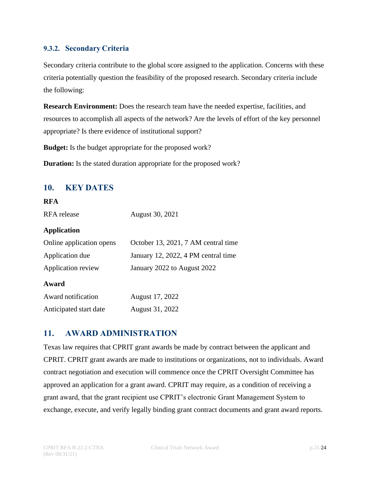#### <span id="page-20-0"></span>**9.3.2. Secondary Criteria**

Secondary criteria contribute to the global score assigned to the application. Concerns with these criteria potentially question the feasibility of the proposed research. Secondary criteria include the following:

**Research Environment:** Does the research team have the needed expertise, facilities, and resources to accomplish all aspects of the network? Are the levels of effort of the key personnel appropriate? Is there evidence of institutional support?

**Budget:** Is the budget appropriate for the proposed work?

**Duration:** Is the stated duration appropriate for the proposed work?

# <span id="page-20-1"></span>**10. KEY DATES**

#### **RFA**

RFA release August 30, 2021

#### **Application**

| Online application opens | October 13, 2021, 7 AM central time |
|--------------------------|-------------------------------------|
| Application due          | January 12, 2022, 4 PM central time |
| Application review       | January 2022 to August 2022         |
|                          |                                     |
| Award                    |                                     |
| Award notification       | August 17, 2022                     |

# <span id="page-20-2"></span>**11. AWARD ADMINISTRATION**

Texas law requires that CPRIT grant awards be made by contract between the applicant and CPRIT. CPRIT grant awards are made to institutions or organizations, not to individuals. Award contract negotiation and execution will commence once the CPRIT Oversight Committee has approved an application for a grant award. CPRIT may require, as a condition of receiving a grant award, that the grant recipient use CPRIT's electronic Grant Management System to exchange, execute, and verify legally binding grant contract documents and grant award reports.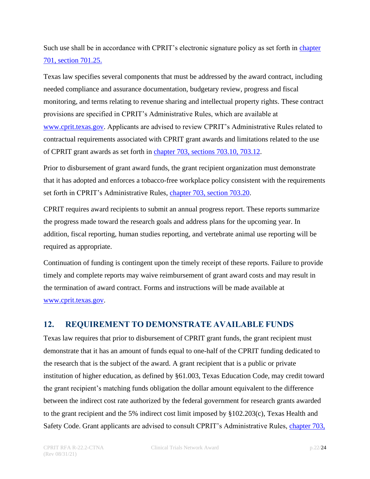Such use shall be in accordance with CPRIT's electronic signature policy as set forth in [chapter](https://texreg.sos.state.tx.us/public/readtac%24ext.ViewTAC?tac_view=4&ti=25&pt=11&ch=701&rl=Y) 701, [section 701.25.](https://texreg.sos.state.tx.us/public/readtac%24ext.ViewTAC?tac_view=4&ti=25&pt=11&ch=701&rl=Y)

Texas law specifies several components that must be addressed by the award contract, including needed compliance and assurance documentation, budgetary review, progress and fiscal monitoring, and terms relating to revenue sharing and intellectual property rights. These contract provisions are specified in CPRIT's Administrative Rules, which are available at [www.cprit.texas.gov. A](http://www.cprit.texas.gov/)pplicants are advised to review CPRIT's Administrative Rules related to contractual requirements associated with CPRIT grant awards and limitations related to the use of CPRIT grant awards as set forth in chapter 703, [sections 703.10, 703.12.](https://texreg.sos.state.tx.us/public/readtac%24ext.ViewTAC?tac_view=4&ti=25&pt=11&ch=703&rl=Y)

Prior to disbursement of grant award funds, the grant recipient organization must demonstrate that it has adopted and enforces a tobacco-free workplace policy consistent with the requirements set forth in CPRIT's Administrative Rules, chapter [703, section 703.20.](https://texreg.sos.state.tx.us/public/readtac$ext.TacPage?sl=R&app=9&p_dir=&p_rloc=&p_tloc=&p_ploc=&pg=1&p_tac=&ti=25&pt=11&ch=703&rl=20)

CPRIT requires award recipients to submit an annual progress report. These reports summarize the progress made toward the research goals and address plans for the upcoming year. In addition, fiscal reporting, human studies reporting, and vertebrate animal use reporting will be required as appropriate.

Continuation of funding is contingent upon the timely receipt of these reports. Failure to provide timely and complete reports may waive reimbursement of grant award costs and may result in the termination of award contract. Forms and instructions will be made available at [www.cprit.texas.gov.](http://www.cprit.texas.gov/)

# <span id="page-21-0"></span>**12. REQUIREMENT TO DEMONSTRATE AVAILABLE FUNDS**

Texas law requires that prior to disbursement of CPRIT grant funds, the grant recipient must demonstrate that it has an amount of funds equal to one-half of the CPRIT funding dedicated to the research that is the subject of the award. A grant recipient that is a public or private institution of higher education, as defined by §61.003, Texas Education Code, may credit toward the grant recipient's matching funds obligation the dollar amount equivalent to the difference between the indirect cost rate authorized by the federal government for research grants awarded to the grant recipient and the 5% indirect cost limit imposed by §102.203(c), Texas Health and Safety Code. Grant applicants are advised to consult CPRIT's Administrative Rules, [chapter 703,](https://texreg.sos.state.tx.us/public/readtac%24ext.ViewTAC?tac_view=4&ti=25&pt=11&ch=703&rl=Y)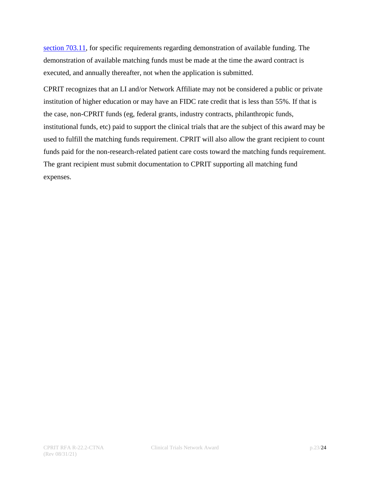[section 703.11,](https://texreg.sos.state.tx.us/public/readtac%24ext.ViewTAC?tac_view=4&ti=25&pt=11&ch=703&rl=Y) for specific requirements regarding demonstration of available funding. The demonstration of available matching funds must be made at the time the award contract is executed, and annually thereafter, not when the application is submitted.

CPRIT recognizes that an LI and/or Network Affiliate may not be considered a public or private institution of higher education or may have an FIDC rate credit that is less than 55%. If that is the case, non-CPRIT funds (eg, federal grants, industry contracts, philanthropic funds, institutional funds, etc) paid to support the clinical trials that are the subject of this award may be used to fulfill the matching funds requirement. CPRIT will also allow the grant recipient to count funds paid for the non-research-related patient care costs toward the matching funds requirement. The grant recipient must submit documentation to CPRIT supporting all matching fund expenses.